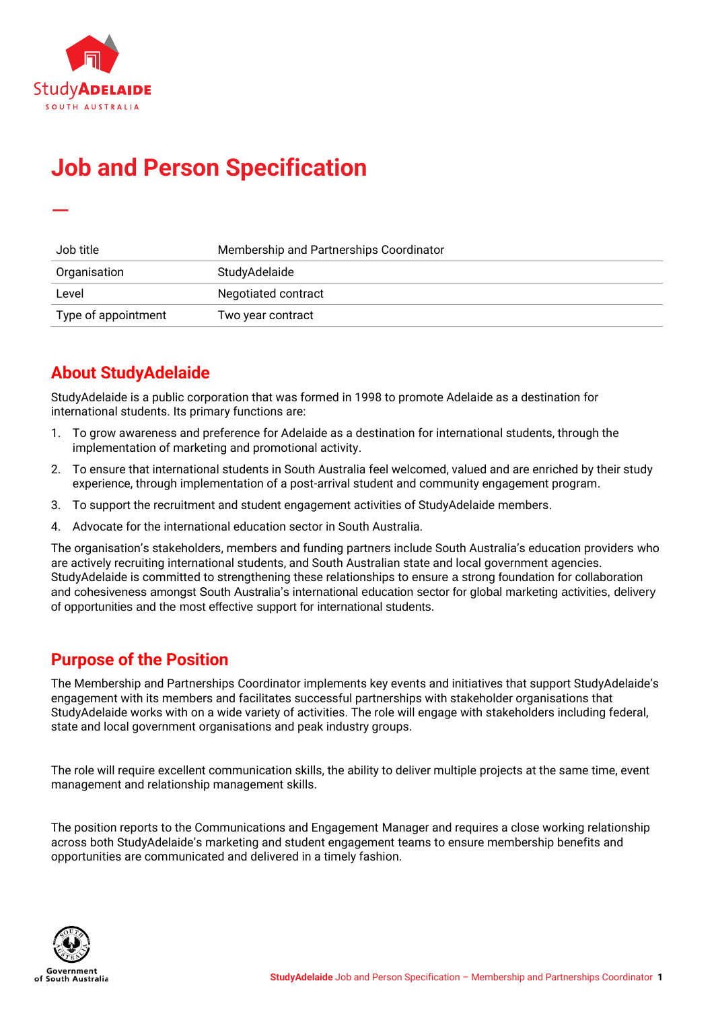

—

# **Job and Person Specification**

| Job title           | Membership and Partnerships Coordinator |
|---------------------|-----------------------------------------|
| Organisation        | StudyAdelaide                           |
| Level               | Negotiated contract                     |
| Type of appointment | Two year contract                       |

# **About StudyAdelaide**

StudyAdelaide is a public corporation that was formed in 1998 to promote Adelaide as a destination for international students. Its primary functions are:

- 1. To grow awareness and preference for Adelaide as a destination for international students, through the implementation of marketing and promotional activity.
- 2. To ensure that international students in South Australia feel welcomed, valued and are enriched by their study experience, through implementation of a post-arrival student and community engagement program.
- 3. To support the recruitment and student engagement activities of StudyAdelaide members.
- 4. Advocate for the international education sector in South Australia.

The organisation's stakeholders, members and funding partners include South Australia's education providers who are actively recruiting international students, and South Australian state and local government agencies. StudyAdelaide is committed to strengthening these relationships to ensure a strong foundation for collaboration and cohesiveness amongst South Australia's international education sector for global marketing activities, delivery of opportunities and the most effective support for international students.

### **Purpose of the Position**

The Membership and Partnerships Coordinator implements key events and initiatives that support StudyAdelaide's engagement with its members and facilitates successful partnerships with stakeholder organisations that StudyAdelaide works with on a wide variety of activities. The role will engage with stakeholders including federal, state and local government organisations and peak industry groups.

The role will require excellent communication skills, the ability to deliver multiple projects at the same time, event management and relationship management skills.

The position reports to the Communications and Engagement Manager and requires a close working relationship across both StudyAdelaide's marketing and student engagement teams to ensure membership benefits and opportunities are communicated and delivered in a timely fashion.

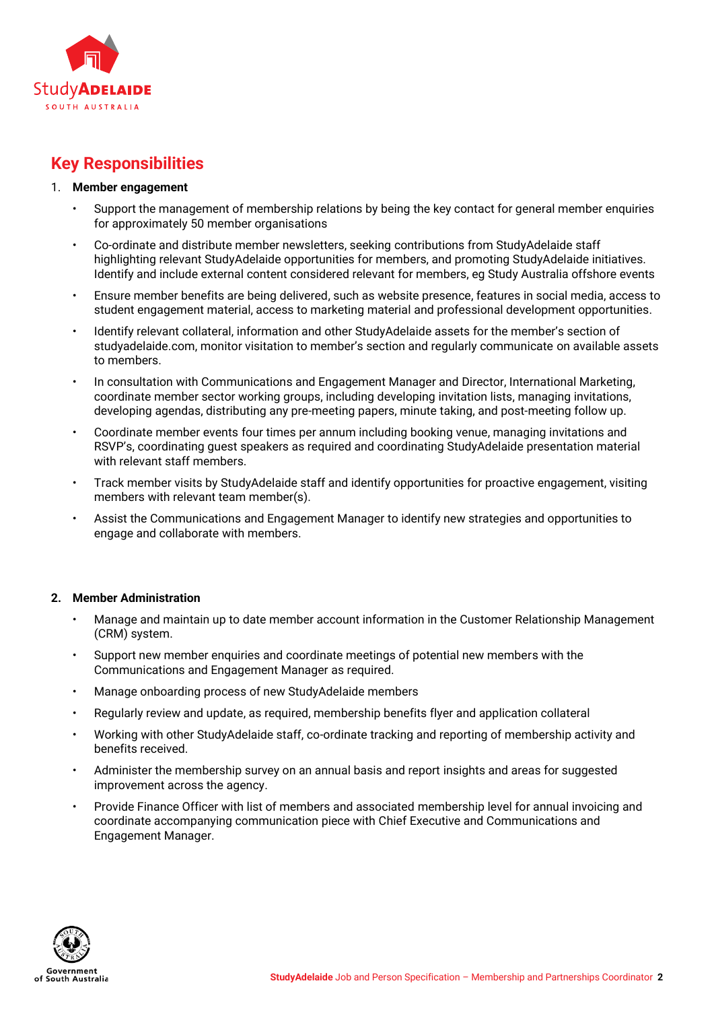

# **Key Responsibilities**

#### 1. **Member engagement**

- Support the management of membership relations by being the key contact for general member enquiries for approximately 50 member organisations
- Co-ordinate and distribute member newsletters, seeking contributions from StudyAdelaide staff highlighting relevant StudyAdelaide opportunities for members, and promoting StudyAdelaide initiatives. Identify and include external content considered relevant for members, eg Study Australia offshore events
- Ensure member benefits are being delivered, such as website presence, features in social media, access to student engagement material, access to marketing material and professional development opportunities.
- Identify relevant collateral, information and other StudyAdelaide assets for the member's section of studyadelaide.com, monitor visitation to member's section and regularly communicate on available assets to members.
- In consultation with Communications and Engagement Manager and Director, International Marketing, coordinate member sector working groups, including developing invitation lists, managing invitations, developing agendas, distributing any pre-meeting papers, minute taking, and post-meeting follow up.
- Coordinate member events four times per annum including booking venue, managing invitations and RSVP's, coordinating guest speakers as required and coordinating StudyAdelaide presentation material with relevant staff members.
- Track member visits by StudyAdelaide staff and identify opportunities for proactive engagement, visiting members with relevant team member(s).
- Assist the Communications and Engagement Manager to identify new strategies and opportunities to engage and collaborate with members.

#### **2. Member Administration**

- Manage and maintain up to date member account information in the Customer Relationship Management (CRM) system.
- Support new member enquiries and coordinate meetings of potential new members with the Communications and Engagement Manager as required.
- Manage onboarding process of new StudyAdelaide members
- Regularly review and update, as required, membership benefits flyer and application collateral
- Working with other StudyAdelaide staff, co-ordinate tracking and reporting of membership activity and benefits received.
- Administer the membership survey on an annual basis and report insights and areas for suggested improvement across the agency.
- Provide Finance Officer with list of members and associated membership level for annual invoicing and coordinate accompanying communication piece with Chief Executive and Communications and Engagement Manager.

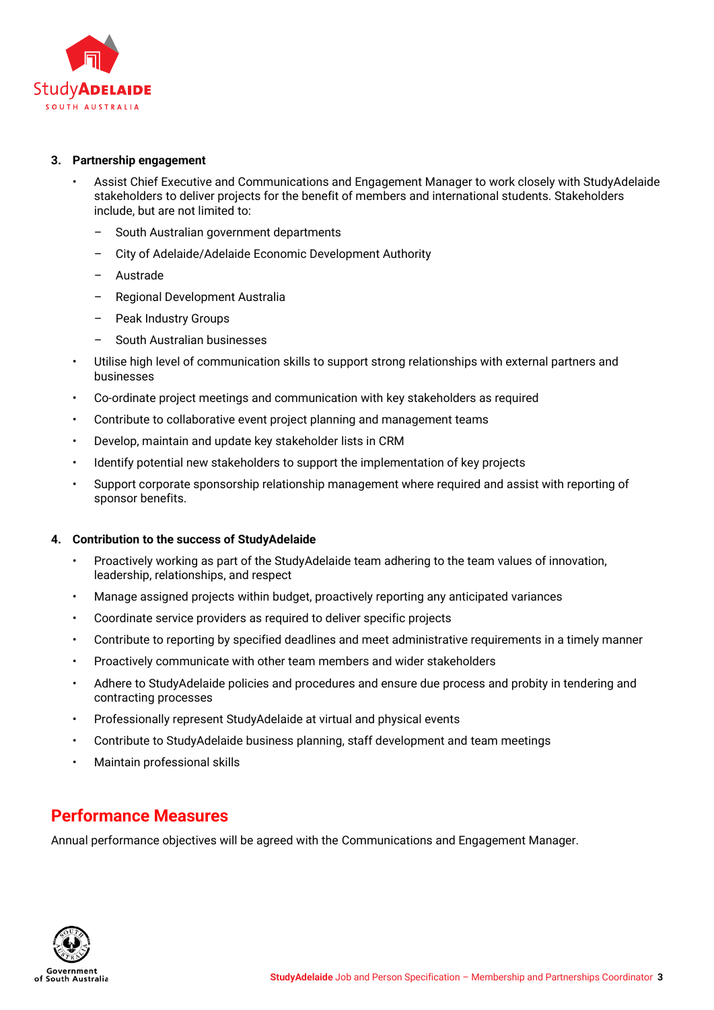

#### **3. Partnership engagement**

- Assist Chief Executive and Communications and Engagement Manager to work closely with StudyAdelaide stakeholders to deliver projects for the benefit of members and international students. Stakeholders include, but are not limited to:
	- South Australian government departments
	- City of Adelaide/Adelaide Economic Development Authority
	- Austrade
	- Regional Development Australia
	- Peak Industry Groups
	- South Australian businesses
- Utilise high level of communication skills to support strong relationships with external partners and businesses
- Co-ordinate project meetings and communication with key stakeholders as required
- Contribute to collaborative event project planning and management teams
- Develop, maintain and update key stakeholder lists in CRM
- Identify potential new stakeholders to support the implementation of key projects
- Support corporate sponsorship relationship management where required and assist with reporting of sponsor benefits.

#### **4. Contribution to the success of StudyAdelaide**

- Proactively working as part of the StudyAdelaide team adhering to the team values of innovation, leadership, relationships, and respect
- Manage assigned projects within budget, proactively reporting any anticipated variances
- Coordinate service providers as required to deliver specific projects
- Contribute to reporting by specified deadlines and meet administrative requirements in a timely manner
- Proactively communicate with other team members and wider stakeholders
- Adhere to StudyAdelaide policies and procedures and ensure due process and probity in tendering and contracting processes
- Professionally represent StudyAdelaide at virtual and physical events
- Contribute to StudyAdelaide business planning, staff development and team meetings
- Maintain professional skills

### **Performance Measures**

Annual performance objectives will be agreed with the Communications and Engagement Manager.